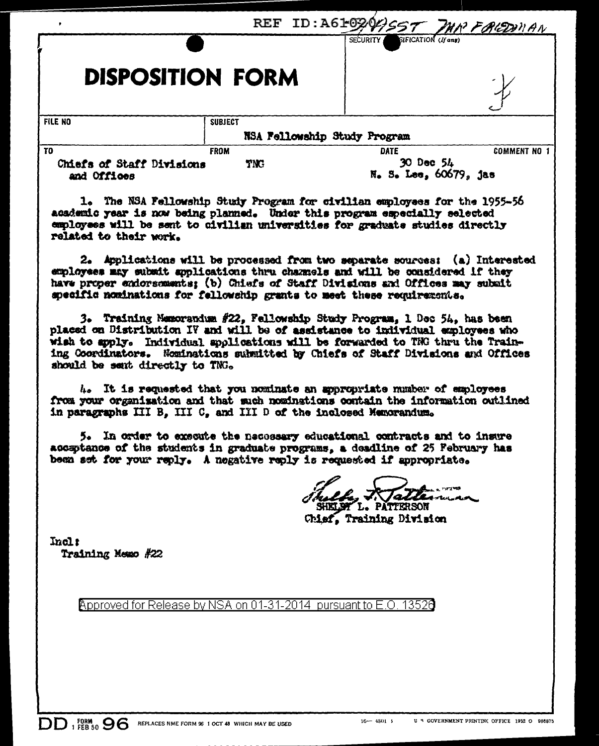| Chiefs of Staff Divisions<br>and Offices | <b>TNC</b>     | 30 Dec 54                                     | N. S. Lee, 60679, jas |  |
|------------------------------------------|----------------|-----------------------------------------------|-----------------------|--|
| T <sub>0</sub>                           | <b>FROM</b>    | <b>DATE</b>                                   | <b>COMMENT NO</b>     |  |
|                                          |                | NSA Fellowship Study Program                  |                       |  |
| <b>FILE NO</b>                           | <b>SUBJECT</b> |                                               |                       |  |
| <b>DISPOSITION FORM</b>                  |                |                                               | ÷                     |  |
|                                          |                | <b>SIFICATION</b> (If any)<br><b>SECURITY</b> |                       |  |
|                                          |                | REF ID:A610201357 MM FALOWAN                  |                       |  |

1. The NSA Fellowship Study Program for civilian employees for the 1955-56 academic year is now being planned. Under this program especially selected employees will be sent to civilian universities for graduate studies directly related to their work.

2. Applications will be processed from two separate sources: (a) Interested exployees may subsit applications thru channels and will be considered if they have proper endorsements: (b) Chiefs of Staff Divisions and Offices may submit specific nominations for fellowship grants to meet these requirements.

3. Training Memorandum #22, Fellowship Study Program, 1 Dec 54, has been placed on Distribution IV and will be of assistance to individual employees who wish to apply. Individual applications will be forwarded to TNG thru the Training Coordinators. Nominations submitted by Chiefs of Staff Divisions and Offices should be sent directly to TNG.

4. It is requested that you nominate an appropriate number of employees from your organization and that such nominations contain the information outlined in paragraphs III B. III C. and III D of the inclosed Memorandum.

5. In order to execute the necessary educational contracts and to insure acceptance of the students in graduate programs, a deadline of 25 February has been set for your reply. A negative reply is requested if appropriate.

L. PATTERSON

Chief. Training Division

Incl: Training Newo #22

 $DD$   $_{1}^{EBM}_{EBB,50}$  96

Approved for Release by NSA on 01-31-2014 pursuant to E.O. 13526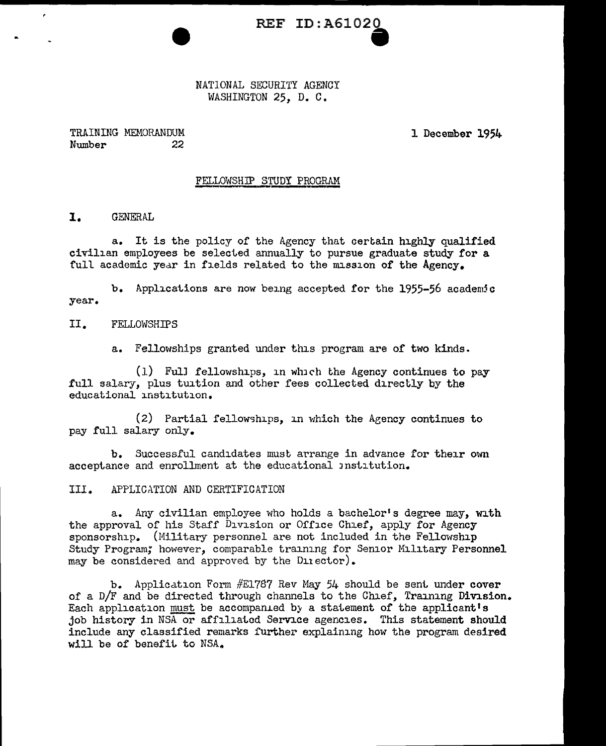**REF ID:A61020** 

NATIONAL SECURITY AGENCY WASHINGTON 25. D. C.

TRAINING MEMORANDUM Number 22 1 December 1954

### FELLOWSHJP STUDY PROGRAM

I. GENERAL

 $\epsilon$ 

a. It is the policy of the Agency that certain highly qualified civilian employees be selected annually to pursue graduate study for a full academic year in fields related to the mission of the Agency.

b. Applications are now being accepted for the 1955-56 academic year.

# II. FELLOWSHIPS

a. Fellowships granted under this program are of two kinds.

 $(1)$  Full fellowships, in which the Agency continues to pay full salary, plus tuition and other fees collected directly by the educational institution.

 $(2)$  Partial fellowships, in which the Agency continues to pay full salary only.

b. Successful candidates must arrange in advance for their own acceptance and enrollment at the educational Jnstitution.

III. APPLICATION AND CERTIFICATION

a. Any civilian employee who holds a bachelor's degree may, with the approval of his Staff Division or Office Chief, apply for Agency sponsorship. (Military personnel are not included in the Fellowship Study Program; however, comparable training for Senior Military Personnel may be considered and approved by the Dinector).

b. Application Form #E1787 Rev May 54 should be sent under cover of a  $D/F$  and be directed through channels to the Chief, Training Division. Each application must be accompanied by a statement of the applicant's job history in NSA or affiliated Service agencies. This statement should include any classified remarks further explaining how the program desired will be of benefit to NSA.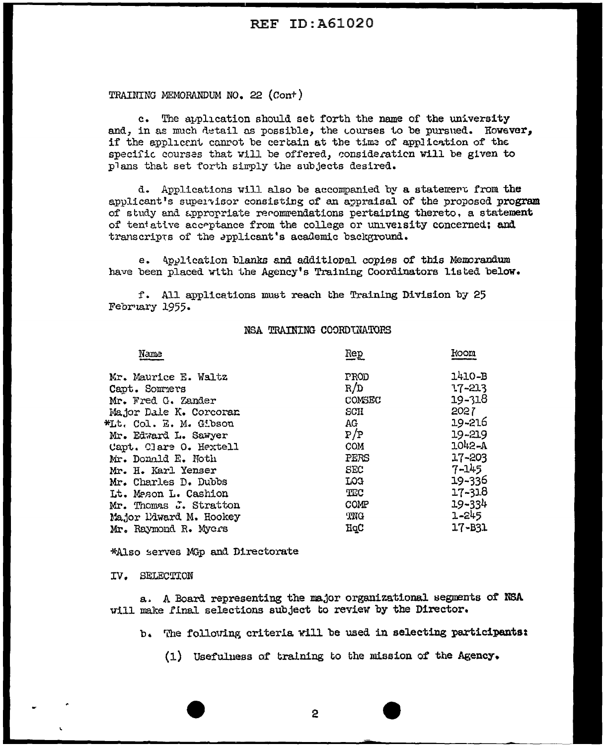# TRAINING MEMORANDUM NO. 22 (Cont)

c. The application should set forth the name of the university and, in as much detail as possible, the courses to be pursued. However, if the applicant cannot be certain at the time of application of the specific courses that will be offered, consideration will be given to plans that set forth simply the subjects desired.

d. Applications will also be accompanied by a statemert from the applicant's supervisor consisting of an appraisal of the proposed program of study and appropriate recommendations pertaining thereto, a statement of tentative acceptance from the college or university concerned; and transcripts of the applicant's academic background.

e. Application blanks and additional copies of this Memorandum have been placed with the Agency's Training Coordinators listed below.

f. All applications must reach the Training Division by 25 February 1955.

### NSA TRAINING COORDINATORS

| Name                   | Rep        | koon       |
|------------------------|------------|------------|
| Mr. Maurice E. Waltz   | PROD       | 1410-B     |
| Capt. Sommers          | R/D        | 17-213     |
| Mr. Fred G. Zander     | COMSEC     | $19 - 318$ |
| Major Dale K. Corcoran | SCH        | 2027       |
| KLt. Col. E. M. Gibson | AG         | 19-216     |
| Mr. Edward L. Sawyer   | P/P        | 19-219     |
| Capt. Clare O. Hextell | COM        | 1042-A     |
| Mr. Donald E. Noth     | PERS       | 17-203     |
| Mr. H. Karl Yenser     | <b>SEC</b> | $7 - 145$  |
| Mr. Charles D. Dubbs   | LOG        | 19-336     |
| Lt. Meson L. Cashion   | TEC        | $17 - 318$ |
| Mr. Thomas J. Stratton | COMP       | $19 - 334$ |
| Major Ldward M. Hookey | TNG        | 1-245      |
| Mr. Raymond R. Mycrs   | HqC        | $17 - B31$ |
|                        |            |            |

\*Also serves MGp and Directorate

### IV. SELECTION

a. A Board representing the major organizational segments of NSA will make final selections subject to review by the Director.

b. The following criteria will be used in selecting participants:

(1) Usefulness of training to the mission of the Agency.

 $\mathbf{2}$